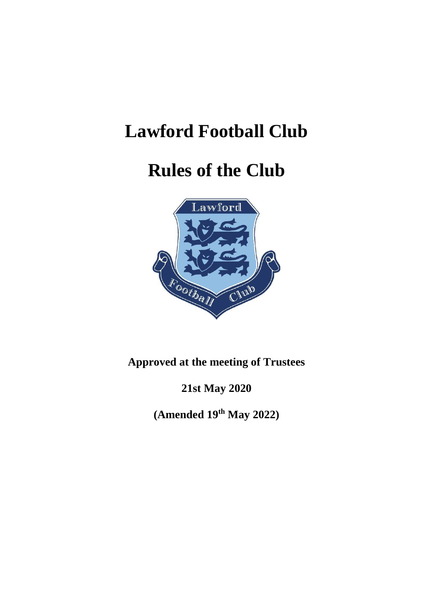# **Lawford Football Club**

## **Rules of the Club**



### **Approved at the meeting of Trustees**

**21st May 2020**

**(Amended 19 th May 2022)**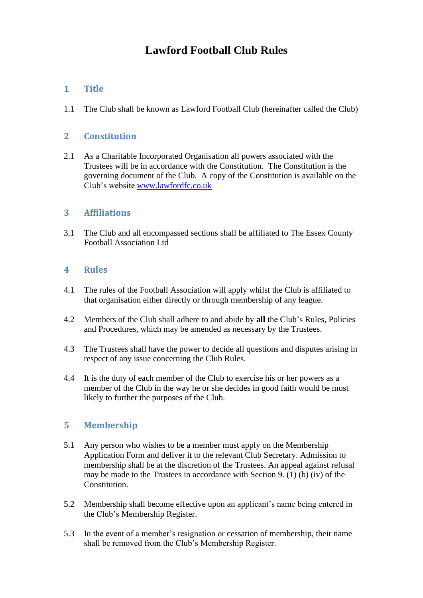### **Lawford Football Club Rules**

#### **1 Title**

1.1 The Club shall be known as Lawford Football Club (hereinafter called the Club)

#### **2 Constitution**

2.1 As a Charitable Incorporated Organisation all powers associated with the Trustees will be in accordance with the Constitution. The Constitution is the governing document of the Club. A copy of the Constitution is available on the Club's website [www.lawfordfc.co.uk](http://www.lawfordfc.co.uk/)

#### **3 Affiliations**

3.1 The Club and all encompassed sections shall be affiliated to The Essex County Football Association Ltd

#### **4 Rules**

- 4.1 The rules of the Football Association will apply whilst the Club is affiliated to that organisation either directly or through membership of any league.
- 4.2 Members of the Club shall adhere to and abide by **all** the Club's Rules, Policies and Procedures, which may be amended as necessary by the Trustees.
- 4.3 The Trustees shall have the power to decide all questions and disputes arising in respect of any issue concerning the Club Rules.
- 4.4 It is the duty of each member of the Club to exercise his or her powers as a member of the Club in the way he or she decides in good faith would be most likely to further the purposes of the Club.

#### **5 Membership**

- 5.1 Any person who wishes to be a member must apply on the Membership Application Form and deliver it to the relevant Club Secretary. Admission to membership shall be at the discretion of the Trustees. An appeal against refusal may be made to the Trustees in accordance with Section 9. (1) (b) (iv) of the Constitution.
- 5.2 Membership shall become effective upon an applicant's name being entered in the Club's Membership Register.
- 5.3 In the event of a member's resignation or cessation of membership, their name shall be removed from the Club's Membership Register.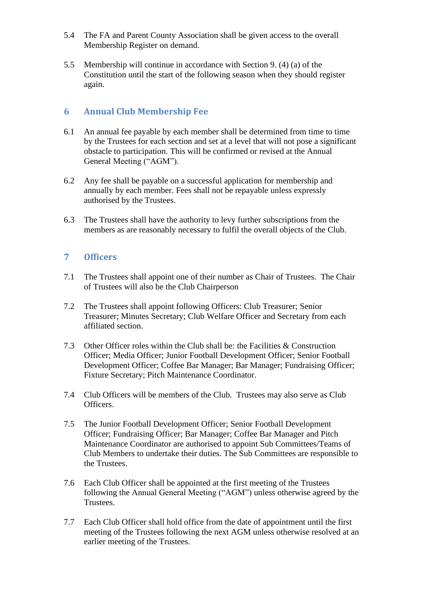- 5.4 The FA and Parent County Association shall be given access to the overall Membership Register on demand.
- 5.5 Membership will continue in accordance with Section 9. (4) (a) of the Constitution until the start of the following season when they should register again.

#### **6 Annual Club Membership Fee**

- 6.1 An annual fee payable by each member shall be determined from time to time by the Trustees for each section and set at a level that will not pose a significant obstacle to participation. This will be confirmed or revised at the Annual General Meeting ("AGM").
- 6.2 Any fee shall be payable on a successful application for membership and annually by each member. Fees shall not be repayable unless expressly authorised by the Trustees.
- 6.3 The Trustees shall have the authority to levy further subscriptions from the members as are reasonably necessary to fulfil the overall objects of the Club.

#### **7 Officers**

- 7.1 The Trustees shall appoint one of their number as Chair of Trustees. The Chair of Trustees will also be the Club Chairperson
- 7.2 The Trustees shall appoint following Officers: Club Treasurer; Senior Treasurer; Minutes Secretary; Club Welfare Officer and Secretary from each affiliated section.
- 7.3 Other Officer roles within the Club shall be: the Facilities & Construction Officer; Media Officer; Junior Football Development Officer; Senior Football Development Officer; Coffee Bar Manager; Bar Manager; Fundraising Officer; Fixture Secretary; Pitch Maintenance Coordinator.
- 7.4 Club Officers will be members of the Club. Trustees may also serve as Club Officers.
- 7.5 The Junior Football Development Officer; Senior Football Development Officer; Fundraising Officer; Bar Manager; Coffee Bar Manager and Pitch Maintenance Coordinator are authorised to appoint Sub Committees/Teams of Club Members to undertake their duties. The Sub Committees are responsible to the Trustees.
- 7.6 Each Club Officer shall be appointed at the first meeting of the Trustees following the Annual General Meeting ("AGM") unless otherwise agreed by the **Trustees**
- 7.7 Each Club Officer shall hold office from the date of appointment until the first meeting of the Trustees following the next AGM unless otherwise resolved at an earlier meeting of the Trustees.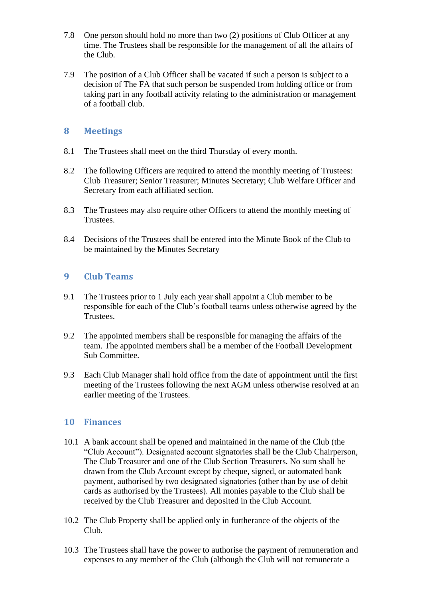- 7.8 One person should hold no more than two (2) positions of Club Officer at any time. The Trustees shall be responsible for the management of all the affairs of the Club.
- 7.9 The position of a Club Officer shall be vacated if such a person is subject to a decision of The FA that such person be suspended from holding office or from taking part in any football activity relating to the administration or management of a football club.

#### **8 Meetings**

- 8.1 The Trustees shall meet on the third Thursday of every month.
- 8.2 The following Officers are required to attend the monthly meeting of Trustees: Club Treasurer; Senior Treasurer; Minutes Secretary; Club Welfare Officer and Secretary from each affiliated section.
- 8.3 The Trustees may also require other Officers to attend the monthly meeting of Trustees.
- 8.4 Decisions of the Trustees shall be entered into the Minute Book of the Club to be maintained by the Minutes Secretary

#### **9 Club Teams**

- 9.1 The Trustees prior to 1 July each year shall appoint a Club member to be responsible for each of the Club's football teams unless otherwise agreed by the Trustees.
- 9.2 The appointed members shall be responsible for managing the affairs of the team. The appointed members shall be a member of the Football Development Sub Committee.
- 9.3 Each Club Manager shall hold office from the date of appointment until the first meeting of the Trustees following the next AGM unless otherwise resolved at an earlier meeting of the Trustees.

#### **10 Finances**

- 10.1 A bank account shall be opened and maintained in the name of the Club (the "Club Account"). Designated account signatories shall be the Club Chairperson, The Club Treasurer and one of the Club Section Treasurers. No sum shall be drawn from the Club Account except by cheque, signed, or automated bank payment, authorised by two designated signatories (other than by use of debit cards as authorised by the Trustees). All monies payable to the Club shall be received by the Club Treasurer and deposited in the Club Account.
- 10.2 The Club Property shall be applied only in furtherance of the objects of the Club.
- 10.3 The Trustees shall have the power to authorise the payment of remuneration and expenses to any member of the Club (although the Club will not remunerate a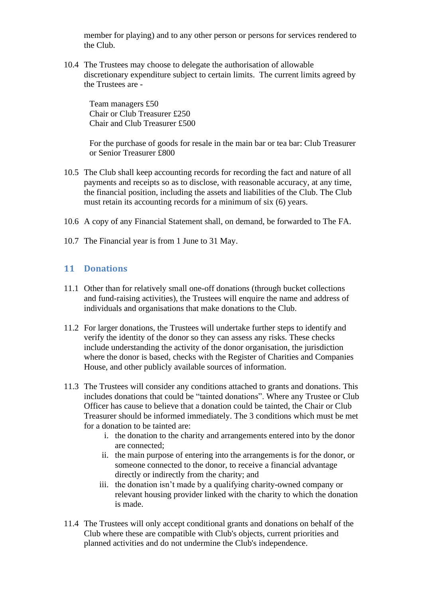member for playing) and to any other person or persons for services rendered to the Club.

10.4 The Trustees may choose to delegate the authorisation of allowable discretionary expenditure subject to certain limits. The current limits agreed by the Trustees are -

Team managers £50 Chair or Club Treasurer £250 Chair and Club Treasurer £500

For the purchase of goods for resale in the main bar or tea bar: Club Treasurer or Senior Treasurer £800

- 10.5 The Club shall keep accounting records for recording the fact and nature of all payments and receipts so as to disclose, with reasonable accuracy, at any time, the financial position, including the assets and liabilities of the Club. The Club must retain its accounting records for a minimum of six (6) years.
- 10.6 A copy of any Financial Statement shall, on demand, be forwarded to The FA.
- 10.7 The Financial year is from 1 June to 31 May.

#### **11 Donations**

- 11.1 Other than for relatively small one-off donations (through bucket collections and fund-raising activities), the Trustees will enquire the name and address of individuals and organisations that make donations to the Club.
- 11.2 For larger donations, the Trustees will undertake further steps to identify and verify the identity of the donor so they can assess any risks. These checks include understanding the activity of the donor organisation, the jurisdiction where the donor is based, checks with the Register of Charities and Companies House, and other publicly available sources of information.
- 11.3 The Trustees will consider any conditions attached to grants and donations. This includes donations that could be "tainted donations". Where any Trustee or Club Officer has cause to believe that a donation could be tainted, the Chair or Club Treasurer should be informed immediately. The 3 conditions which must be met for a donation to be tainted are:
	- i. the donation to the charity and arrangements entered into by the donor are connected;
	- ii. the main purpose of entering into the arrangements is for the donor, or someone connected to the donor, to receive a financial advantage directly or indirectly from the charity; and
	- iii. the donation isn't made by a qualifying charity-owned company or relevant housing provider linked with the charity to which the donation is made.
- 11.4 The Trustees will only accept conditional grants and donations on behalf of the Club where these are compatible with Club's objects, current priorities and planned activities and do not undermine the Club's independence.